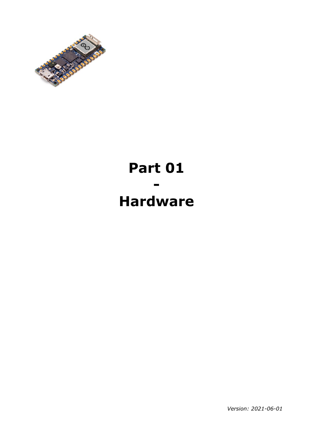

# **Part 01 - Hardware**

*Version: 2021-06-01*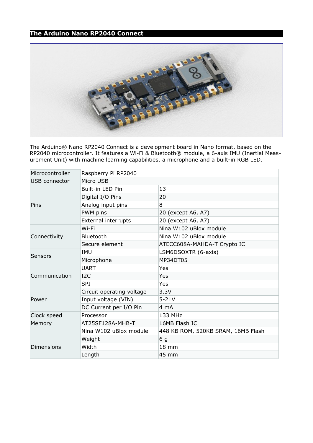# **The Arduino Nano RP2040 Connect**



The Arduino® Nano RP2040 Connect is a development board in Nano format, based on the RP2040 microcontroller. It features a Wi-Fi & Bluetooth® module, a 6-axis IMU (Inertial Measurement Unit) with machine learning capabilities, a microphone and a built-in RGB LED.

| Microcontroller   | Raspberry Pi RP2040       |                                    |  |  |
|-------------------|---------------------------|------------------------------------|--|--|
| USB connector     | Micro USB                 |                                    |  |  |
|                   | Built-in LED Pin          | 13                                 |  |  |
| Pins              | Digital I/O Pins          | 20                                 |  |  |
|                   | Analog input pins         | 8                                  |  |  |
|                   | PWM pins                  | 20 (except A6, A7)                 |  |  |
|                   | External interrupts       | 20 (except A6, A7)                 |  |  |
| Connectivity      | Wi-Fi                     | Nina W102 uBlox module             |  |  |
|                   | Bluetooth                 | Nina W102 uBlox module             |  |  |
|                   | Secure element            | ATECC608A-MAHDA-T Crypto IC        |  |  |
| Sensors           | IMU                       | LSM6DSOXTR (6-axis)                |  |  |
|                   | Microphone                | MP34DT05                           |  |  |
| Communication     | <b>UART</b>               | Yes                                |  |  |
|                   | I2C                       | Yes                                |  |  |
|                   | <b>SPI</b>                | Yes                                |  |  |
| Power             | Circuit operating voltage | 3.3V                               |  |  |
|                   | Input voltage (VIN)       | $5 - 21V$                          |  |  |
|                   | DC Current per I/O Pin    | 4 mA                               |  |  |
| Clock speed       | Processor                 | 133 MHz                            |  |  |
| Memory            | AT25SF128A-MHB-T          | 16MB Flash IC                      |  |  |
|                   | Nina W102 uBlox module    | 448 KB ROM, 520KB SRAM, 16MB Flash |  |  |
|                   | Weight                    | 6 g                                |  |  |
| <b>Dimensions</b> | Width                     | 18 mm                              |  |  |
|                   | Length                    | 45 mm                              |  |  |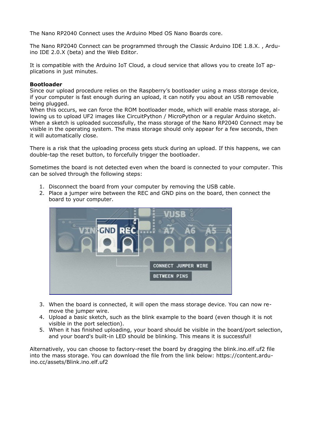The Nano RP2040 Connect uses the Arduino Mbed OS Nano Boards core.

The Nano RP2040 Connect can be programmed through the Classic Arduino IDE 1.8.X. , Arduino IDE 2.0.X (beta) and the Web Editor.

It is compatible with the Arduino IoT Cloud, a cloud service that allows you to create IoT applications in just minutes.

#### **Bootloader**

Since our upload procedure relies on the Raspberry's bootloader using a mass storage device, if your computer is fast enough during an upload, it can notify you about an USB removable being plugged.

When this occurs, we can force the ROM bootloader mode, which will enable mass storage, allowing us to upload UF2 images like CircuitPython / MicroPython or a regular Arduino sketch. When a sketch is uploaded successfully, the mass storage of the Nano RP2040 Connect may be visible in the operating system. The mass storage should only appear for a few seconds, then it will automatically close.

There is a risk that the uploading process gets stuck during an upload. If this happens, we can double-tap the reset button, to forcefully trigger the bootloader.

Sometimes the board is not detected even when the board is connected to your computer. This can be solved through the following steps:

- 1. Disconnect the board from your computer by removing the USB cable.
- 2. Place a jumper wire between the REC and GND pins on the board, then connect the board to your computer.



- 3. When the board is connected, it will open the mass storage device. You can now remove the jumper wire.
- 4. Upload a basic sketch, such as the blink example to the board (even though it is not visible in the port selection).
- 5. When it has finished uploading, your board should be visible in the board/port selection, and your board's built-in LED should be blinking. This means it is successful!

Alternatively, you can choose to factory-reset the board by dragging the blink.ino.elf.uf2 file into the mass storage. You can download the file from the link below: https://content.arduino.cc/assets/Blink.ino.elf.uf2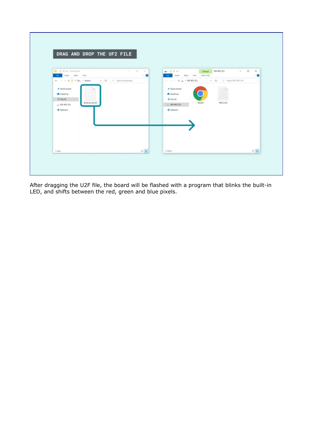| $\mathbb{R} \times \mathbb{R}$ is a constraints<br>$\begin{array}{ccccccccc} \cdots & \cdots & \cdots & \cdots & \cdots & \cdots \end{array}$<br><b>Rig Home Share</b> View<br>$\vee$ 0 | $-$ 0 $\times$<br>- 2 1 March 201-892-001<br>He Home Stare View Drive-Tools<br>$\vee$ 0 |
|-----------------------------------------------------------------------------------------------------------------------------------------------------------------------------------------|-----------------------------------------------------------------------------------------|
|                                                                                                                                                                                         | ← → → ↑ → 利HR2(D) → D → Search NP-N2(D)                                                 |
| * Quick access                                                                                                                                                                          | * Quick access                                                                          |
| <b>Concilie</b>                                                                                                                                                                         | <b>CheDrive</b>                                                                         |
| <b>C</b> This PC<br>Binkinselful2                                                                                                                                                       | <b>Ju</b> This PC<br>INFO,UF2<br><b>INDEX</b>                                           |
| $-$ RPI-RP2 (D)<br><b>Websork</b>                                                                                                                                                       | U. RR-RP2 (D)<br><b>B</b> Network                                                       |
|                                                                                                                                                                                         |                                                                                         |
|                                                                                                                                                                                         |                                                                                         |
|                                                                                                                                                                                         |                                                                                         |
|                                                                                                                                                                                         |                                                                                         |
|                                                                                                                                                                                         |                                                                                         |
|                                                                                                                                                                                         |                                                                                         |

After dragging the U2F file, the board will be flashed with a program that blinks the built-in LED, and shifts between the red, green and blue pixels.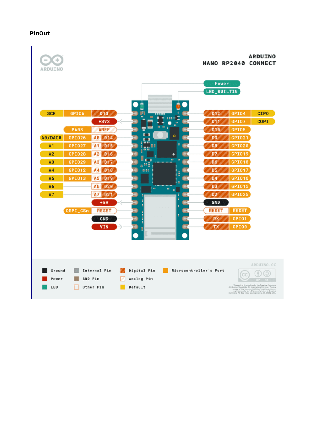# **PinOut**

| ARDUINO                |                      |                                          |                                               |                                 |                                               | <b>NANO RP2040</b>             | <b>ARDUINO</b><br><b>CONNECT</b>                                                                                                                                                                                                                         |
|------------------------|----------------------|------------------------------------------|-----------------------------------------------|---------------------------------|-----------------------------------------------|--------------------------------|----------------------------------------------------------------------------------------------------------------------------------------------------------------------------------------------------------------------------------------------------------|
|                        |                      |                                          |                                               |                                 | Power<br><b>LED_BUILTIN</b>                   |                                |                                                                                                                                                                                                                                                          |
| <b>SCK</b>             | GPI06<br><b>PA03</b> | D <sub>13</sub><br>$+3V3$<br><b>AREF</b> | ш<br>п                                        | $\dots$<br>۰<br>$\bullet$       | D <sub>12</sub><br>D11<br>D <sub>18</sub>     | GPI04<br>GPI07<br>GPI05        | <b>CIPO</b><br><b>COPI</b>                                                                                                                                                                                                                               |
| A0/DAC0                | GPI026               | A <sub>0</sub><br>D <sub>14</sub>        | п<br>п<br>$\blacksquare$                      | $\circ$                         | D9                                            | GPI021                         |                                                                                                                                                                                                                                                          |
| A1                     | GPI027               | A1<br>D15                                | 4,000<br>$\epsilon_{\rm max}$ in Fig.<br>نانى |                                 | D <sub>8</sub>                                | GPI020                         |                                                                                                                                                                                                                                                          |
| A2                     | <b>GPI028</b>        | A2<br>D <sub>16</sub>                    | ▊                                             |                                 | D7                                            | GPI019                         |                                                                                                                                                                                                                                                          |
| A3                     | GPI029               | A3<br>D <sub>17</sub>                    | <b>THE</b><br>g#B                             |                                 | D6                                            | GPI018                         |                                                                                                                                                                                                                                                          |
| A4                     | GPI012               | AA<br>D <sub>18</sub>                    | <br>esse                                      | H                               | D5                                            | GPI017                         |                                                                                                                                                                                                                                                          |
| A <sub>5</sub>         | GPI013               | A <sub>5</sub><br>D <sub>19</sub>        | Ë                                             |                                 | D <sub>4</sub>                                | GPI016                         |                                                                                                                                                                                                                                                          |
| A6                     |                      | A <sub>6</sub><br>D20                    | l m                                           | -------------<br>$\bullet$<br>٠ | D <sub>3</sub>                                | GPI015                         |                                                                                                                                                                                                                                                          |
| A7                     |                      | A7<br>D <sub>21</sub>                    | ٠                                             | ٥<br>è                          | D <sub>2</sub>                                | <b>GPI025</b>                  |                                                                                                                                                                                                                                                          |
|                        | QSPI_CSn             | +5V<br><b>RESET</b><br><b>GND</b><br>VIN | в<br>٠                                        | ٥                               | <b>GND</b><br><b>RESET</b><br><b>RX</b><br>тх | <b>RESET</b><br>GPI01<br>GPI00 |                                                                                                                                                                                                                                                          |
| Ground<br>Power<br>LED |                      | Internal Pin<br>SWD Pin<br>Other Pin     | Digital Pin<br>Analog Pin<br>Default          | Microcontroller's Port          |                                               | Comm                           | ARDUINO.CC<br>This work is licensed under the Creative Commons<br>Antributor-ShereAlian 4.0 international License To view and the<br>accommons of the license view http://treat/seconomons.<br>Springerschip said 0/ or send a letter to Creative<br>Com |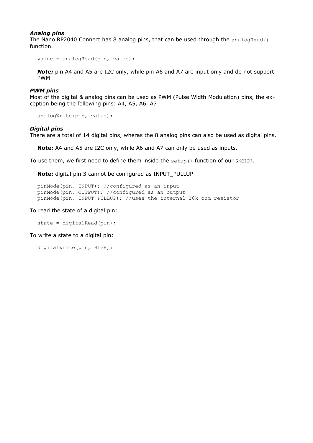#### *Analog pins*

The Nano RP2040 Connect has 8 analog pins, that can be used through the analogRead() function.

```
value = analogRead(pin, value);
```
*Note:* pin A4 and A5 are I2C only, while pin A6 and A7 are input only and do not support PWM.

#### *PWM pins*

Most of the digital & analog pins can be used as PWM (Pulse Width Modulation) pins, the exception being the following pins: A4, A5, A6, A7

analogWrite(pin, value);

#### *Digital pins*

There are a total of 14 digital pins, wheras the 8 analog pins can also be used as digital pins.

**Note:** A4 and A5 are I2C only, while A6 and A7 can only be used as inputs.

To use them, we first need to define them inside the  $setup()$  function of our sketch.

**Note:** digital pin 3 cannot be configured as INPUT\_PULLUP

```
pinMode(pin, INPUT); //configured as an input
pinMode(pin, OUTPUT); //configured as an output
pinMode(pin, INPUT_PULLUP); //uses the internal 10k ohm resistor
```
To read the state of a digital pin:

```
state = digitalRead(pin);
```
To write a state to a digital pin:

```
digitalWrite(pin, HIGH);
```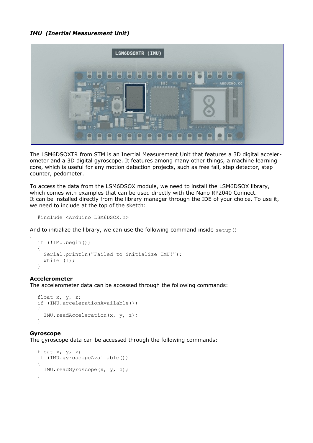## *IMU (Inertial Measurement Unit)*



The LSM6DSOXTR from STM is an Inertial Measurement Unit that features a 3D digital accelerometer and a 3D digital gyroscope. It features among many other things, a machine learning core, which is useful for any motion detection projects, such as free fall, step detector, step counter, pedometer.

To access the data from the LSM6DSOX module, we need to install the LSM6DSOX library, which comes with examples that can be used directly with the Nano RP2040 Connect. It can be installed directly from the library manager through the IDE of your choice. To use it, we need to include at the top of the sketch:

#include <Arduino\_LSM6DSOX.h>

And to initialize the library, we can use the following command inside  $setup()$ 

```
if (!IMU.begin()) 
{
   Serial.println("Failed to initialize IMU!");
  while (1);
}
```
#### **Accelerometer**

.

The accelerometer data can be accessed through the following commands:

```
float x, y, z;
if (IMU.accelerationAvailable()) 
{
   IMU.readAcceleration(x, y, z);
}
```
#### **Gyroscope**

The gyroscope data can be accessed through the following commands:

```
float x, y, z;
if (IMU.gyroscopeAvailable()) 
{
   IMU.readGyroscope(x, y, z);
}
```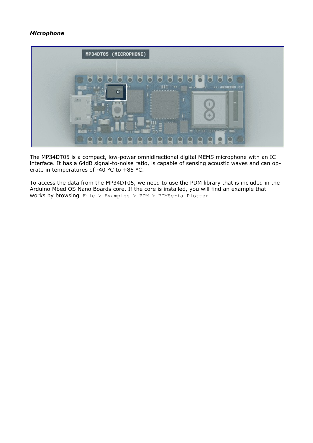# *Microphone*



The MP34DT05 is a compact, low-power omnidirectional digital MEMS microphone with an IC interface. It has a 64dB signal-to-noise ratio, is capable of sensing acoustic waves and can operate in temperatures of -40 °C to +85 °C.

To access the data from the MP34DT05, we need to use the PDM library that is included in the Arduino Mbed OS Nano Boards core. If the core is installed, you will find an example that works by browsing File > Examples > PDM > PDMSerialPlotter.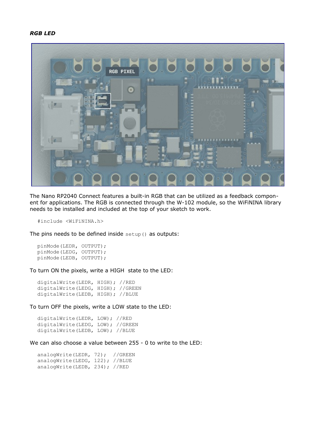#### *RGB LED*



The Nano RP2040 Connect features a built-in RGB that can be utilized as a feedback component for applications. The RGB is connected through the W-102 module, so the WiFiNINA library needs to be installed and included at the top of your sketch to work.

#include <WiFiNINA.h>

The pins needs to be defined inside setup() as outputs:

pinMode(LEDR, OUTPUT); pinMode(LEDG, OUTPUT); pinMode(LEDB, OUTPUT);

To turn ON the pixels, write a HIGH state to the LED:

digitalWrite(LEDR, HIGH); //RED digitalWrite(LEDG, HIGH); //GREEN digitalWrite(LEDB, HIGH); //BLUE

To turn OFF the pixels, write a LOW state to the LED:

digitalWrite(LEDR, LOW); //RED digitalWrite(LEDG, LOW); //GREEN digitalWrite(LEDB, LOW); //BLUE

We can also choose a value between 255 - 0 to write to the LED:

analogWrite(LEDR, 72); //GREEN analogWrite(LEDG, 122); //BLUE analogWrite(LEDB, 234); //RED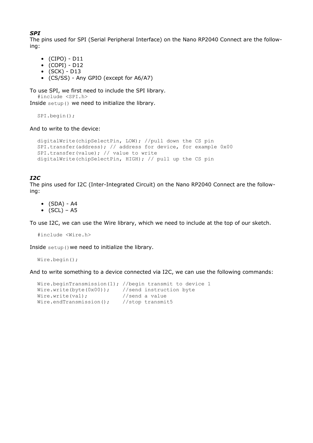## *SPI*

The pins used for SPI (Serial Peripheral Interface) on the Nano RP2040 Connect are the following:

- (CIPO) D11
- (COPI) D12
- $\bullet$  (SCK) D13
- (CS/SS) Any GPIO (except for A6/A7)

To use SPI, we first need to include the SPI library.

#include <SPI.h>

Inside setup() we need to initialize the library.

SPI.begin();

And to write to the device:

```
digitalWrite(chipSelectPin, LOW); //pull down the CS pin
SPI.transfer(address); // address for device, for example 0x00
SPI.transfer(value); // value to write
digitalWrite(chipSelectPin, HIGH); // pull up the CS pin
```
## *I2C*

The pins used for I2C (Inter-Integrated Circuit) on the Nano RP2040 Connect are the following:

• (SDA) - A4

•  $(SCL) - A5$ 

To use I2C, we can use the Wire library, which we need to include at the top of our sketch.

#include <Wire.h>

Inside setup() we need to initialize the library.

Wire.begin();

And to write something to a device connected via I2C, we can use the following commands:

```
Wire.beginTransmission(1); //begin transmit to device 1 
Wire.write(byte(0x00)); //send instruction byte<br>Wire.write(val); //send a value
Wire.write(val);
Wire.endTransmission(); //stop transmit5
```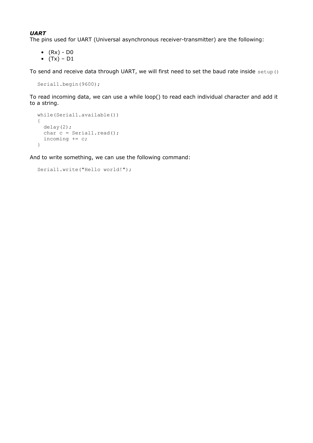# *UART*

The pins used for UART (Universal asynchronous receiver-transmitter) are the following:

- $(Rx) D0$
- $(Tx) D1$

To send and receive data through UART, we will first need to set the baud rate inside setup()

```
Serial1.begin(9600);
```
To read incoming data, we can use a while loop() to read each individual character and add it to a string.

```
while(Serial1.available())
{
   delay(2);
 char c = Serial1.read();
 incoming += c;}
```
And to write something, we can use the following command:

```
Serial1.write("Hello world!");
```